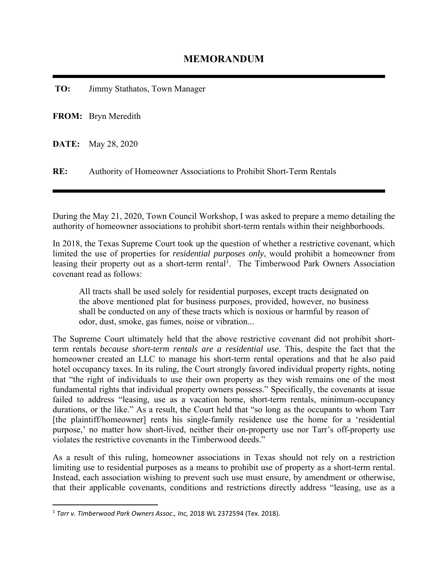**TO:** Jimmy Stathatos, Town Manager

**FROM:** Bryn Meredith

**DATE:** May 28, 2020

**RE:** Authority of Homeowner Associations to Prohibit Short-Term Rentals

During the May 21, 2020, Town Council Workshop, I was asked to prepare a memo detailing the authority of homeowner associations to prohibit short-term rentals within their neighborhoods.

In 2018, the Texas Supreme Court took up the question of whether a restrictive covenant, which limited the use of properties for *residential purposes only*, would prohibit a homeowner from leasing their property out as a short-term rental<sup>1</sup>. The Timberwood Park Owners Association covenant read as follows:

All tracts shall be used solely for residential purposes, except tracts designated on the above mentioned plat for business purposes, provided, however, no business shall be conducted on any of these tracts which is noxious or harmful by reason of odor, dust, smoke, gas fumes, noise or vibration..․

The Supreme Court ultimately held that the above restrictive covenant did not prohibit shortterm rentals *because short-term rentals are a residential use*. This, despite the fact that the homeowner created an LLC to manage his short-term rental operations and that he also paid hotel occupancy taxes. In its ruling, the Court strongly favored individual property rights, noting that "the right of individuals to use their own property as they wish remains one of the most fundamental rights that individual property owners possess." Specifically, the covenants at issue failed to address "leasing, use as a vacation home, short-term rentals, minimum-occupancy durations, or the like." As a result, the Court held that "so long as the occupants to whom Tarr [the plaintiff/homeowner] rents his single-family residence use the home for a 'residential purpose,' no matter how short-lived, neither their on-property use nor Tarr's off-property use violates the restrictive covenants in the Timberwood deeds."

As a result of this ruling, homeowner associations in Texas should not rely on a restriction limiting use to residential purposes as a means to prohibit use of property as a short-term rental. Instead, each association wishing to prevent such use must ensure, by amendment or otherwise, that their applicable covenants, conditions and restrictions directly address "leasing, use as a

<sup>1</sup> *Tarr v. Timberwood Park Owners Assoc., Inc,* 2018 WL 2372594 (Tex. 2018).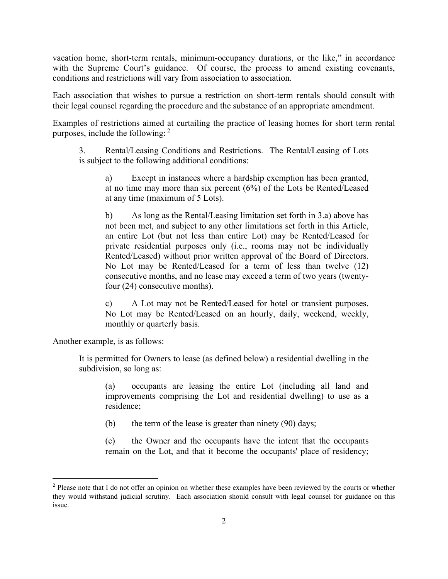vacation home, short-term rentals, minimum-occupancy durations, or the like," in accordance with the Supreme Court's guidance. Of course, the process to amend existing covenants, conditions and restrictions will vary from association to association.

Each association that wishes to pursue a restriction on short-term rentals should consult with their legal counsel regarding the procedure and the substance of an appropriate amendment.

Examples of restrictions aimed at curtailing the practice of leasing homes for short term rental purposes, include the following:  $2^2$ 

3. Rental/Leasing Conditions and Restrictions. The Rental/Leasing of Lots is subject to the following additional conditions:

a) Except in instances where a hardship exemption has been granted, at no time may more than six percent (6%) of the Lots be Rented/Leased at any time (maximum of 5 Lots).

b) As long as the Rental/Leasing limitation set forth in 3.a) above has not been met, and subject to any other limitations set forth in this Article, an entire Lot (but not less than entire Lot) may be Rented/Leased for private residential purposes only (i.e., rooms may not be individually Rented/Leased) without prior written approval of the Board of Directors. No Lot may be Rented/Leased for a term of less than twelve (12) consecutive months, and no lease may exceed a term of two years (twentyfour (24) consecutive months).

c) A Lot may not be Rented/Leased for hotel or transient purposes. No Lot may be Rented/Leased on an hourly, daily, weekend, weekly, monthly or quarterly basis.

Another example, is as follows:

It is permitted for Owners to lease (as defined below) a residential dwelling in the subdivision, so long as:

(a) occupants are leasing the entire Lot (including all land and improvements comprising the Lot and residential dwelling) to use as a residence;

(b) the term of the lease is greater than ninety (90) days;

(c) the Owner and the occupants have the intent that the occupants remain on the Lot, and that it become the occupants' place of residency;

<sup>&</sup>lt;sup>2</sup> Please note that I do not offer an opinion on whether these examples have been reviewed by the courts or whether they would withstand judicial scrutiny. Each association should consult with legal counsel for guidance on this issue.